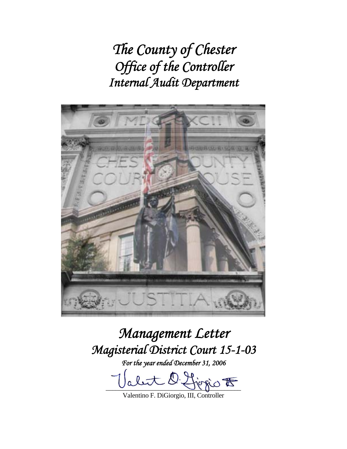*The County of Chester Office of the Controller Internal Audit Department* 



*Management Letter Magisterial District Court 15-1-03* 

*For the year ended December 31, 2006* 

 $\mathcal{D}_1$  $l$  it  $\bigcirc$   $\mathcal{F}$ 

Valentino F. DiGiorgio, III, Controller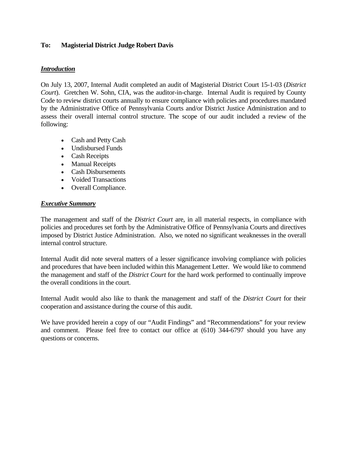### **To: Magisterial District Judge Robert Davis**

### *Introduction*

On July 13, 2007, Internal Audit completed an audit of Magisterial District Court 15-1-03 (*District Court*). Gretchen W. Sohn, CIA, was the auditor-in-charge. Internal Audit is required by County Code to review district courts annually to ensure compliance with policies and procedures mandated by the Administrative Office of Pennsylvania Courts and/or District Justice Administration and to assess their overall internal control structure. The scope of our audit included a review of the following:

- Cash and Petty Cash
- Undisbursed Funds
- Cash Receipts
- Manual Receipts
- Cash Disbursements
- Voided Transactions
- Overall Compliance.

#### *Executive Summary*

The management and staff of the *District Court* are, in all material respects, in compliance with policies and procedures set forth by the Administrative Office of Pennsylvania Courts and directives imposed by District Justice Administration. Also, we noted no significant weaknesses in the overall internal control structure.

Internal Audit did note several matters of a lesser significance involving compliance with policies and procedures that have been included within this Management Letter. We would like to commend the management and staff of the *District Court* for the hard work performed to continually improve the overall conditions in the court.

Internal Audit would also like to thank the management and staff of the *District Court* for their cooperation and assistance during the course of this audit.

We have provided herein a copy of our "Audit Findings" and "Recommendations" for your review and comment. Please feel free to contact our office at (610) 344-6797 should you have any questions or concerns.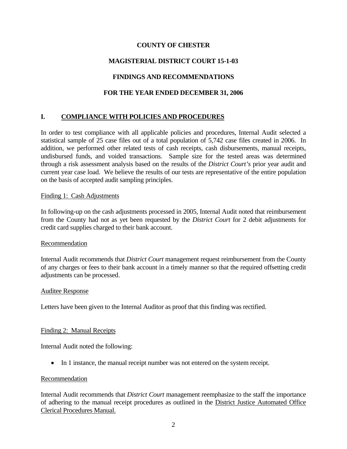# **MAGISTERIAL DISTRICT COURT 15-1-03**

# **FINDINGS AND RECOMMENDATIONS**

# **FOR THE YEAR ENDED DECEMBER 31, 2006**

# **I. COMPLIANCE WITH POLICIES AND PROCEDURES**

In order to test compliance with all applicable policies and procedures, Internal Audit selected a statistical sample of 25 case files out of a total population of 5,742 case files created in 2006. In addition, we performed other related tests of cash receipts, cash disbursements, manual receipts, undisbursed funds, and voided transactions. Sample size for the tested areas was determined through a risk assessment analysis based on the results of the *District Court's* prior year audit and current year case load. We believe the results of our tests are representative of the entire population on the basis of accepted audit sampling principles.

### Finding 1: Cash Adjustments

In following-up on the cash adjustments processed in 2005, Internal Audit noted that reimbursement from the County had not as yet been requested by the *District Court* for 2 debit adjustments for credit card supplies charged to their bank account.

### Recommendation

Internal Audit recommends that *District Court* management request reimbursement from the County of any charges or fees to their bank account in a timely manner so that the required offsetting credit adjustments can be processed.

### Auditee Response

Letters have been given to the Internal Auditor as proof that this finding was rectified.

### Finding 2: Manual Receipts

Internal Audit noted the following:

• In 1 instance, the manual receipt number was not entered on the system receipt.

### Recommendation

Internal Audit recommends that *District Court* management reemphasize to the staff the importance of adhering to the manual receipt procedures as outlined in the District Justice Automated Office Clerical Procedures Manual.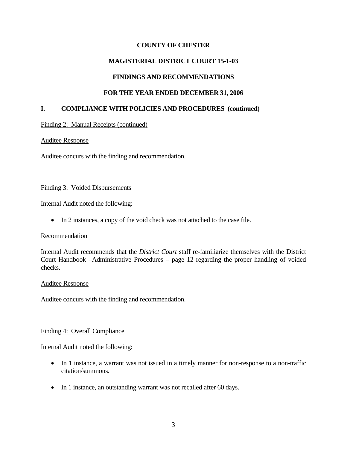# **MAGISTERIAL DISTRICT COURT 15-1-03**

# **FINDINGS AND RECOMMENDATIONS**

### **FOR THE YEAR ENDED DECEMBER 31, 2006**

### **I. COMPLIANCE WITH POLICIES AND PROCEDURES (continued)**

### Finding 2: Manual Receipts (continued)

### Auditee Response

Auditee concurs with the finding and recommendation.

#### Finding 3: Voided Disbursements

Internal Audit noted the following:

• In 2 instances, a copy of the void check was not attached to the case file.

### **Recommendation**

Internal Audit recommends that the *District Court* staff re-familiarize themselves with the District Court Handbook –Administrative Procedures – page 12 regarding the proper handling of voided checks.

#### Auditee Response

Auditee concurs with the finding and recommendation.

### Finding 4: Overall Compliance

Internal Audit noted the following:

- In 1 instance, a warrant was not issued in a timely manner for non-response to a non-traffic citation/summons.
- In 1 instance, an outstanding warrant was not recalled after 60 days.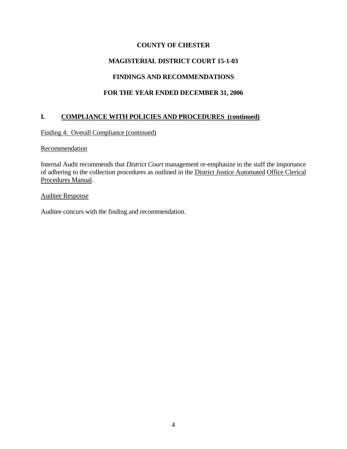# **MAGISTERIAL DISTRICT COURT 15-1-03**

# **FINDINGS AND RECOMMENDATIONS**

# **FOR THE YEAR ENDED DECEMBER 31, 2006**

# **I. COMPLIANCE WITH POLICIES AND PROCEDURES (continued)**

Finding 4: Overall Compliance (continued)

#### **Recommendation**

Internal Audit recommends that *District Court* management re-emphasize to the staff the importance of adhering to the collection procedures as outlined in the District Justice Automated Office Clerical Procedures Manual.

#### Auditee Response

Auditee concurs with the finding and recommendation.